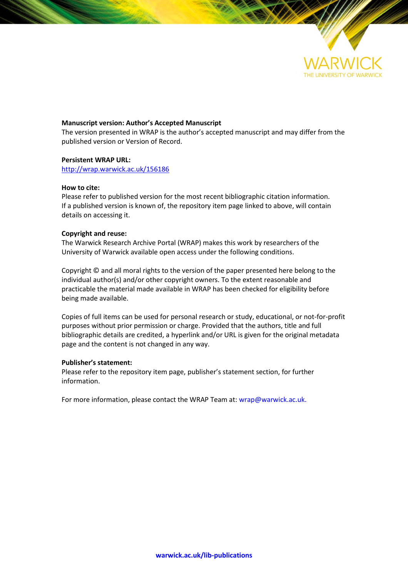

### **Manuscript version: Author's Accepted Manuscript**

The version presented in WRAP is the author's accepted manuscript and may differ from the published version or Version of Record.

#### **Persistent WRAP URL:**

<http://wrap.warwick.ac.uk/156186>

#### **How to cite:**

Please refer to published version for the most recent bibliographic citation information. If a published version is known of, the repository item page linked to above, will contain details on accessing it.

## **Copyright and reuse:**

The Warwick Research Archive Portal (WRAP) makes this work by researchers of the University of Warwick available open access under the following conditions.

Copyright © and all moral rights to the version of the paper presented here belong to the individual author(s) and/or other copyright owners. To the extent reasonable and practicable the material made available in WRAP has been checked for eligibility before being made available.

Copies of full items can be used for personal research or study, educational, or not-for-profit purposes without prior permission or charge. Provided that the authors, title and full bibliographic details are credited, a hyperlink and/or URL is given for the original metadata page and the content is not changed in any way.

#### **Publisher's statement:**

Please refer to the repository item page, publisher's statement section, for further information.

For more information, please contact the WRAP Team at[: wrap@warwick.ac.uk.](mailto:wrap@warwick.ac.uk)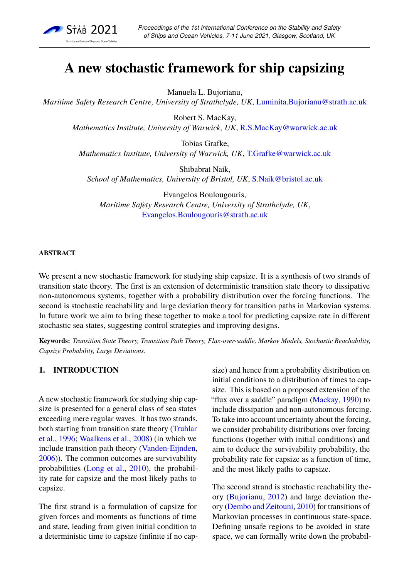

# **A new stochastic framework for ship capsizing**

Manuela L. Bujorianu,

*Maritime Safety Research Centre, University of Strathclyde, UK*, [Luminita.Bujorianu@strath.ac.uk](mailto:luminita.bujorianu@strath.ac.uk)

Robert S. MacKay, *Mathematics Institute, University of Warwick, UK*, [R.S.MacKay@warwick.ac.uk](mailto:r.s.mackay@warwick.ac.uk)

Tobias Grafke, *Mathematics Institute, University of Warwick, UK*, [T.Grafke@warwick.ac.uk](mailto:T.Grafke@warwick.ac.uk)

Shibabrat Naik, *School of Mathematics, University of Bristol, UK*, [S.Naik@bristol.ac.uk](mailto:S.Naik@bristol.ac.uk)

Evangelos Boulougouris, *Maritime Safety Research Centre, University of Strathclyde, UK*, [Evangelos.Boulougouris@strath.ac.uk](mailto:Evangelos.Boulougouris@strath.ac.uk)

## **ABSTRACT**

We present a new stochastic framework for studying ship capsize. It is a synthesis of two strands of transition state theory. The first is an extension of deterministic transition state theory to dissipative non-autonomous systems, together with a probability distribution over the forcing functions. The second is stochastic reachability and large deviation theory for transition paths in Markovian systems. In future work we aim to bring these together to make a tool for predicting capsize rate in different stochastic sea states, suggesting control strategies and improving designs.

**Keywords:** *Transition State Theory, Transition Path Theory, Flux-over-saddle, Markov Models, Stochastic Reachability, Capsize Probability, Large Deviations.*

## **1. INTRODUCTION**

A new stochastic framework for studying ship capsize is presented for a general class of sea states exceeding mere regular waves. It has two strands, both starting from transition state theory [\(Truhlar](#page-7-0) [et al.,](#page-7-0) [1996;](#page-7-0) [Waalkens et al.,](#page-7-1) [2008\)](#page-7-1) (in which we include transition path theory [\(Vanden-Eijnden,](#page-7-2) [2006\)](#page-7-2)). The common outcomes are survivability probabilities [\(Long et al.,](#page-7-3) [2010\)](#page-7-3), the probability rate for capsize and the most likely paths to capsize.

The first strand is a formulation of capsize for given forces and moments as functions of time and state, leading from given initial condition to a deterministic time to capsize (infinite if no cap-

size) and hence from a probability distribution on initial conditions to a distribution of times to capsize. This is based on a proposed extension of the "flux over a saddle" paradigm [\(Mackay,](#page-7-4) [1990\)](#page-7-4) to include dissipation and non-autonomous forcing. To take into account uncertainty about the forcing, we consider probability distributions over forcing functions (together with initial conditions) and aim to deduce the survivability probability, the probability rate for capsize as a function of time, and the most likely paths to capsize.

The second strand is stochastic reachability theory [\(Bujorianu,](#page-7-5) [2012\)](#page-7-5) and large deviation theory [\(Dembo and Zeitouni,](#page-7-6) [2010\)](#page-7-6) for transitions of Markovian processes in continuous state-space. Defining unsafe regions to be avoided in state space, we can formally write down the probabil-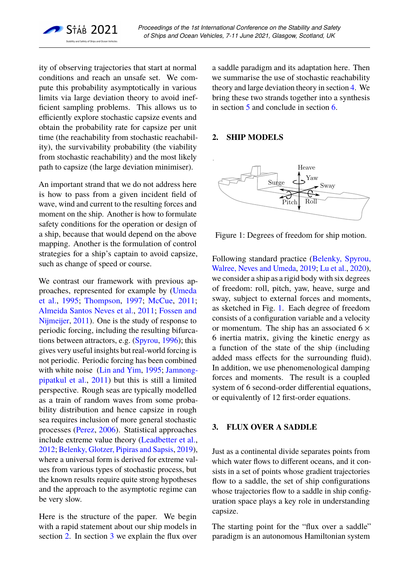

ity of observing trajectories that start at normal conditions and reach an unsafe set. We compute this probability asymptotically in various limits via large deviation theory to avoid inefficient sampling problems. This allows us to efficiently explore stochastic capsize events and obtain the probability rate for capsize per unit time (the reachability from stochastic reachability), the survivability probability (the viability from stochastic reachability) and the most likely path to capsize (the large deviation minimiser).

An important strand that we do not address here is how to pass from a given incident field of wave, wind and current to the resulting forces and moment on the ship. Another is how to formulate safety conditions for the operation or design of a ship, because that would depend on the above mapping. Another is the formulation of control strategies for a ship's captain to avoid capsize, such as change of speed or course.

We contrast our framework with previous approaches, represented for example by [\(Umeda](#page-7-7) [et al.,](#page-7-7) [1995;](#page-7-7) [Thompson,](#page-7-8) [1997;](#page-7-8) [McCue,](#page-7-9) [2011;](#page-7-9) [Almeida Santos Neves et al.,](#page-6-0) [2011;](#page-6-0) [Fossen and](#page-7-10) [Nijmeijer,](#page-7-10) [2011\)](#page-7-10). One is the study of response to periodic forcing, including the resulting bifurcations between attractors, e.g. [\(Spyrou,](#page-7-11) [1996\)](#page-7-11); this gives very useful insights but real-world forcing is not periodic. Periodic forcing has been combined with white noise [\(Lin and Yim,](#page-7-12) [1995;](#page-7-12) [Jamnong](#page-7-13)[pipatkul et al.,](#page-7-13) [2011\)](#page-7-13) but this is still a limited perspective. Rough seas are typically modelled as a train of random waves from some probability distribution and hence capsize in rough sea requires inclusion of more general stochastic processes [\(Perez,](#page-7-14) [2006\)](#page-7-14). Statistical approaches include extreme value theory [\(Leadbetter et al.,](#page-7-15) [2012;](#page-7-15) [Belenky, Glotzer, Pipiras and Sapsis,](#page-6-1) [2019\)](#page-6-1), where a universal form is derived for extreme values from various types of stochastic process, but the known results require quite strong hypotheses and the approach to the asymptotic regime can be very slow.

Here is the structure of the paper. We begin with a rapid statement about our ship models in section [2.](#page-2-0) In section [3](#page-2-1) we explain the flux over

a saddle paradigm and its adaptation here. Then we summarise the use of stochastic reachability theory and large deviation theory in section [4.](#page-4-0) We bring these two strands together into a synthesis in section [5](#page-6-2) and conclude in section [6.](#page-6-3)

## <span id="page-2-0"></span>**2. SHIP MODELS**



<span id="page-2-2"></span>Figure 1: Degrees of freedom for ship motion.

Following standard practice [\(Belenky, Spyrou,](#page-6-4) [Walree, Neves and Umeda,](#page-6-4) [2019;](#page-6-4) [Lu et al.,](#page-7-16) [2020\)](#page-7-16), we consider a ship as a rigid body with six degrees of freedom: roll, pitch, yaw, heave, surge and sway, subject to external forces and moments, as sketched in Fig. [1.](#page-2-2) Each degree of freedom consists of a configuration variable and a velocity or momentum. The ship has an associated  $6 \times$ 6 inertia matrix, giving the kinetic energy as a function of the state of the ship (including added mass effects for the surrounding fluid). In addition, we use phenomenological damping forces and moments. The result is a coupled system of 6 second-order differential equations, or equivalently of 12 first-order equations.

# <span id="page-2-1"></span>**3. FLUX OVER A SADDLE**

Just as a continental divide separates points from which water flows to different oceans, and it consists in a set of points whose gradient trajectories flow to a saddle, the set of ship configurations whose trajectories flow to a saddle in ship configuration space plays a key role in understanding capsize.

The starting point for the "flux over a saddle" paradigm is an autonomous Hamiltonian system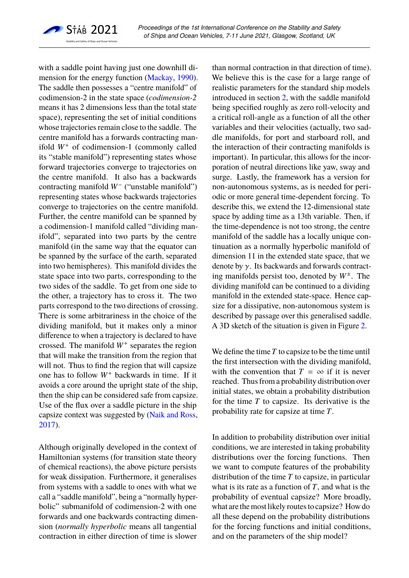

with a saddle point having just one downhill dimension for the energy function [\(Mackay,](#page-7-4) [1990\)](#page-7-4). The saddle then possesses a "centre manifold" of codimension-2 in the state space (*codimension-2* means it has 2 dimensions less than the total state space), representing the set of initial conditions whose trajectories remain close to the saddle. The centre manifold has a forwards contracting manifold *W*<sup>+</sup> of codimension-1 (commonly called its "stable manifold") representing states whose forward trajectories converge to trajectories on the centre manifold. It also has a backwards contracting manifold *W*<sup>−</sup> ("unstable manifold") representing states whose backwards trajectories converge to trajectories on the centre manifold. Further, the centre manifold can be spanned by a codimension-1 manifold called "dividing manifold", separated into two parts by the centre manifold (in the same way that the equator can be spanned by the surface of the earth, separated into two hemispheres). This manifold divides the state space into two parts, corresponding to the two sides of the saddle. To get from one side to the other, a trajectory has to cross it. The two parts correspond to the two directions of crossing. There is some arbitrariness in the choice of the dividing manifold, but it makes only a minor difference to when a trajectory is declared to have crossed. The manifold *W*<sup>+</sup> separates the region that will make the transition from the region that will not. Thus to find the region that will capsize one has to follow *W*<sup>+</sup> backwards in time. If it avoids a core around the upright state of the ship, then the ship can be considered safe from capsize. Use of the flux over a saddle picture in the ship capsize context was suggested by [\(Naik and Ross,](#page-7-17) [2017\)](#page-7-17).

Although originally developed in the context of Hamiltonian systems (for transition state theory of chemical reactions), the above picture persists for weak dissipation. Furthermore, it generalises from systems with a saddle to ones with what we call a "saddle manifold", being a "normally hyperbolic" submanifold of codimension-2 with one forwards and one backwards contracting dimension (*normally hyperbolic* means all tangential contraction in either direction of time is slower

than normal contraction in that direction of time). We believe this is the case for a large range of realistic parameters for the standard ship models introduced in section [2,](#page-2-0) with the saddle manifold being specified roughly as zero roll-velocity and a critical roll-angle as a function of all the other variables and their velocities (actually, two saddle manifolds, for port and starboard roll, and the interaction of their contracting manifolds is important). In particular, this allows for the incorporation of neutral directions like yaw, sway and surge. Lastly, the framework has a version for non-autonomous systems, as is needed for periodic or more general time-dependent forcing. To describe this, we extend the 12-dimensional state space by adding time as a 13th variable. Then, if the time-dependence is not too strong, the centre manifold of the saddle has a locally unique continuation as a normally hyperbolic manifold of dimension 11 in the extended state space, that we denote by  $\gamma$ . Its backwards and forwards contracting manifolds persist too, denoted by *W*<sup>±</sup> . The dividing manifold can be continued to a dividing manifold in the extended state-space. Hence capsize for a dissipative, non-autonomous system is described by passage over this generalised saddle. A 3D sketch of the situation is given in Figure [2.](#page-4-1)

We define the time *T* to capsize to be the time until the first intersection with the dividing manifold, with the convention that  $T = \infty$  if it is never reached. Thus from a probability distribution over initial states, we obtain a probability distribution for the time *T* to capsize. Its derivative is the probability rate for capsize at time *T*.

In addition to probability distribution over initial conditions, we are interested in taking probability distributions over the forcing functions. Then we want to compute features of the probability distribution of the time *T* to capsize, in particular what is its rate as a function of *T*, and what is the probability of eventual capsize? More broadly, what are the most likely routes to capsize? How do all these depend on the probability distributions for the forcing functions and initial conditions, and on the parameters of the ship model?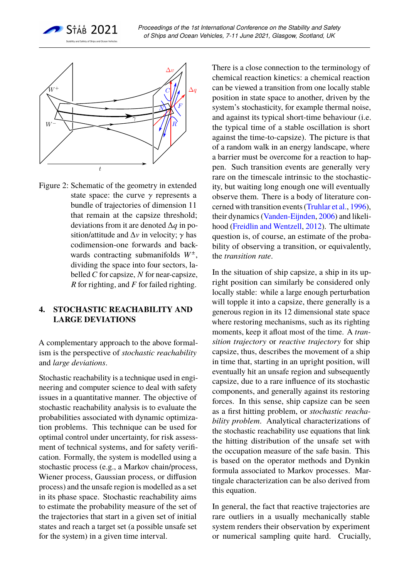



<span id="page-4-1"></span>Figure 2: Schematic of the geometry in extended state space: the curve  $\gamma$  represents a bundle of trajectories of dimension 11 that remain at the capsize threshold; deviations from it are denoted ∆*q* in position/attitude and  $\Delta v$  in velocity;  $\gamma$  has codimension-one forwards and backwards contracting submanifolds *W*<sup>±</sup> , dividing the space into four sectors, labelled *C* for capsize, *N* for near-capsize, *R* for righting, and *F* for failed righting.

## <span id="page-4-0"></span>**4. STOCHASTIC REACHABILITY AND LARGE DEVIATIONS**

A complementary approach to the above formalism is the perspective of *stochastic reachability* and *large deviations*.

Stochastic reachability is a technique used in engineering and computer science to deal with safety issues in a quantitative manner. The objective of stochastic reachability analysis is to evaluate the probabilities associated with dynamic optimization problems. This technique can be used for optimal control under uncertainty, for risk assessment of technical systems, and for safety verification. Formally, the system is modelled using a stochastic process (e.g., a Markov chain/process, Wiener process, Gaussian process, or diffusion process) and the unsafe region is modelled as a set in its phase space. Stochastic reachability aims to estimate the probability measure of the set of the trajectories that start in a given set of initial states and reach a target set (a possible unsafe set for the system) in a given time interval.

There is a close connection to the terminology of chemical reaction kinetics: a chemical reaction can be viewed a transition from one locally stable position in state space to another, driven by the system's stochasticity, for example thermal noise, and against its typical short-time behaviour (i.e. the typical time of a stable oscillation is short against the time-to-capsize). The picture is that of a random walk in an energy landscape, where a barrier must be overcome for a reaction to happen. Such transition events are generally very rare on the timescale intrinsic to the stochasticity, but waiting long enough one will eventually observe them. There is a body of literature concerned with transition events [\(Truhlar et al.,](#page-7-0) [1996\)](#page-7-0), their dynamics [\(Vanden-Eijnden,](#page-7-2) [2006\)](#page-7-2) and likelihood [\(Freidlin and Wentzell,](#page-7-18) [2012\)](#page-7-18). The ultimate question is, of course, an estimate of the probability of observing a transition, or equivalently, the *transition rate*.

In the situation of ship capsize, a ship in its upright position can similarly be considered only locally stable: while a large enough perturbation will topple it into a capsize, there generally is a generous region in its 12 dimensional state space where restoring mechanisms, such as its righting moments, keep it afloat most of the time. A *transition trajectory* or *reactive trajectory* for ship capsize, thus, describes the movement of a ship in time that, starting in an upright position, will eventually hit an unsafe region and subsequently capsize, due to a rare influence of its stochastic components, and generally against its restoring forces. In this sense, ship capsize can be seen as a first hitting problem, or *stochastic reachability problem*. Analytical characterizations of the stochastic reachability use equations that link the hitting distribution of the unsafe set with the occupation measure of the safe basin. This is based on the operator methods and Dynkin formula associated to Markov processes. Martingale characterization can be also derived from this equation.

In general, the fact that reactive trajectories are rare outliers in a usually mechanically stable system renders their observation by experiment or numerical sampling quite hard. Crucially,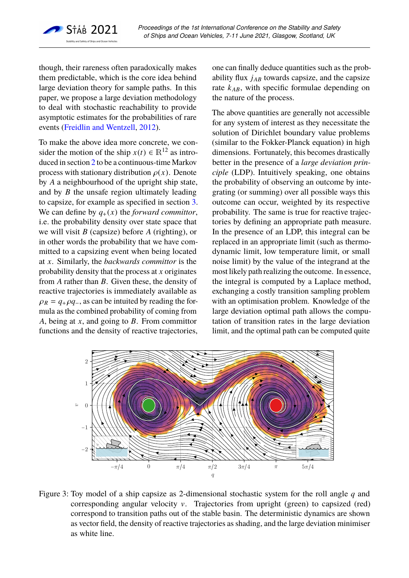

though, their rareness often paradoxically makes them predictable, which is the core idea behind large deviation theory for sample paths. In this paper, we propose a large deviation methodology to deal with stochastic reachability to provide asymptotic estimates for the probabilities of rare events [\(Freidlin and Wentzell,](#page-7-18) [2012\)](#page-7-18).

To make the above idea more concrete, we consider the motion of the ship  $x(t) \in \mathbb{R}^{12}$  as introduced in section [2](#page-2-0) to be a continuous-time Markov process with stationary distribution  $\rho(x)$ . Denote by *A* a neighbourhood of the upright ship state, and by *B* the unsafe region ultimately leading to capsize, for example as specified in section [3.](#page-2-1) We can define by  $q_+(x)$  the *forward committor*, i.e. the probability density over state space that we will visit *B* (capsize) before *A* (righting), or in other words the probability that we have committed to a capsizing event when being located at *x*. Similarly, the *backwards committor* is the probability density that the process at *x* originates from *A* rather than *B*. Given these, the density of reactive trajectories is immediately available as  $\rho_R = q_+ \rho q_$ , as can be intuited by reading the formula as the combined probability of coming from *A*, being at *x*, and going to *B*. From committor functions and the density of reactive trajectories,

one can finally deduce quantities such as the probability flux *jAB* towards capsize, and the capsize rate *kAB*, with specific formulae depending on the nature of the process.

The above quantities are generally not accessible for any system of interest as they necessitate the solution of Dirichlet boundary value problems (similar to the Fokker-Planck equation) in high dimensions. Fortunately, this becomes drastically better in the presence of a *large deviation principle* (LDP). Intuitively speaking, one obtains the probability of observing an outcome by integrating (or summing) over all possible ways this outcome can occur, weighted by its respective probability. The same is true for reactive trajectories by defining an appropriate path measure. In the presence of an LDP, this integral can be replaced in an appropriate limit (such as thermodynamic limit, low temperature limit, or small noise limit) by the value of the integrand at the most likely path realizing the outcome. In essence, the integral is computed by a Laplace method, exchanging a costly transition sampling problem with an optimisation problem. Knowledge of the large deviation optimal path allows the computation of transition rates in the large deviation limit, and the optimal path can be computed quite



<span id="page-5-0"></span>Figure 3: Toy model of a ship capsize as 2-dimensional stochastic system for the roll angle *q* and corresponding angular velocity v. Trajectories from upright (green) to capsized (red) correspond to transition paths out of the stable basin. The deterministic dynamics are shown as vector field, the density of reactive trajectories as shading, and the large deviation minimiser as white line.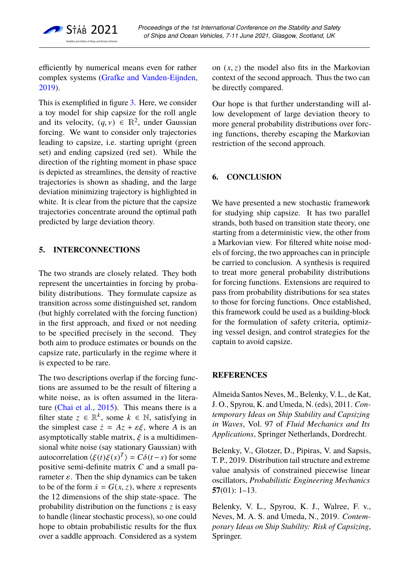

efficiently by numerical means even for rather complex systems [\(Grafke and Vanden-Eijnden,](#page-7-19) [2019\)](#page-7-19).

This is exemplified in figure [3.](#page-5-0) Here, we consider a toy model for ship capsize for the roll angle and its velocity,  $(q, v) \in \mathbb{R}^2$ , under Gaussian<br>forcing. We want to consider only trajectories forcing. We want to consider only trajectories leading to capsize, i.e. starting upright (green set) and ending capsized (red set). While the direction of the righting moment in phase space is depicted as streamlines, the density of reactive trajectories is shown as shading, and the large deviation minimizing trajectory is highlighted in white. It is clear from the picture that the capsize trajectories concentrate around the optimal path predicted by large deviation theory.

# <span id="page-6-2"></span>**5. INTERCONNECTIONS**

The two strands are closely related. They both represent the uncertainties in forcing by probability distributions. They formulate capsize as transition across some distinguished set, random (but highly correlated with the forcing function) in the first approach, and fixed or not needing to be specified precisely in the second. They both aim to produce estimates or bounds on the capsize rate, particularly in the regime where it is expected to be rare.

The two descriptions overlap if the forcing functions are assumed to be the result of filtering a white noise, as is often assumed in the literature [\(Chai et al.,](#page-7-20) [2015\)](#page-7-20). This means there is a filter state  $z \in \mathbb{R}^k$ , some  $k \in \mathbb{N}$ , satisfying in the simplest case  $\dot{z} = Az + \varepsilon \xi$ , where *A* is an asymptotically stable matrix,  $\xi$  is a multidimensional white noise (say stationary Gaussian) with autocorrelation  $\langle \xi(t) \xi(s)^T \rangle = C\delta(t-s)$  for some positive semi-definite matrix *C* and a small papositive semi-definite matrix *C* and a small parameter  $\varepsilon$ . Then the ship dynamics can be taken to be of the form  $\dot{x} = G(x, z)$ , where *x* represents the 12 dimensions of the ship state-space. The probability distribution on the functions *z* is easy to handle (linear stochastic process), so one could hope to obtain probabilistic results for the flux over a saddle approach. Considered as a system

on  $(x, z)$  the model also fits in the Markovian context of the second approach. Thus the two can be directly compared.

Our hope is that further understanding will allow development of large deviation theory to more general probability distributions over forcing functions, thereby escaping the Markovian restriction of the second approach.

# <span id="page-6-3"></span>**6. CONCLUSION**

We have presented a new stochastic framework for studying ship capsize. It has two parallel strands, both based on transition state theory, one starting from a deterministic view, the other from a Markovian view. For filtered white noise models of forcing, the two approaches can in principle be carried to conclusion. A synthesis is required to treat more general probability distributions for forcing functions. Extensions are required to pass from probability distributions for sea states to those for forcing functions. Once established, this framework could be used as a building-block for the formulation of safety criteria, optimizing vessel design, and control strategies for the captain to avoid capsize.

## **REFERENCES**

<span id="page-6-0"></span>Almeida Santos Neves, M., Belenky, V. L., de Kat, J. O., Spyrou, K. and Umeda, N. (eds), 2011. *Contemporary Ideas on Ship Stability and Capsizing in Waves*, Vol. 97 of *Fluid Mechanics and Its Applications*, Springer Netherlands, Dordrecht.

<span id="page-6-1"></span>Belenky, V., Glotzer, D., Pipiras, V. and Sapsis, T. P., 2019. Distribution tail structure and extreme value analysis of constrained piecewise linear oscillators, *Probabilistic Engineering Mechanics* **57**(01): 1–13.

<span id="page-6-4"></span>Belenky, V. L., Spyrou, K. J., Walree, F. v., Neves, M. A. S. and Umeda, N., 2019. *Contemporary Ideas on Ship Stability: Risk of Capsizing*, Springer.